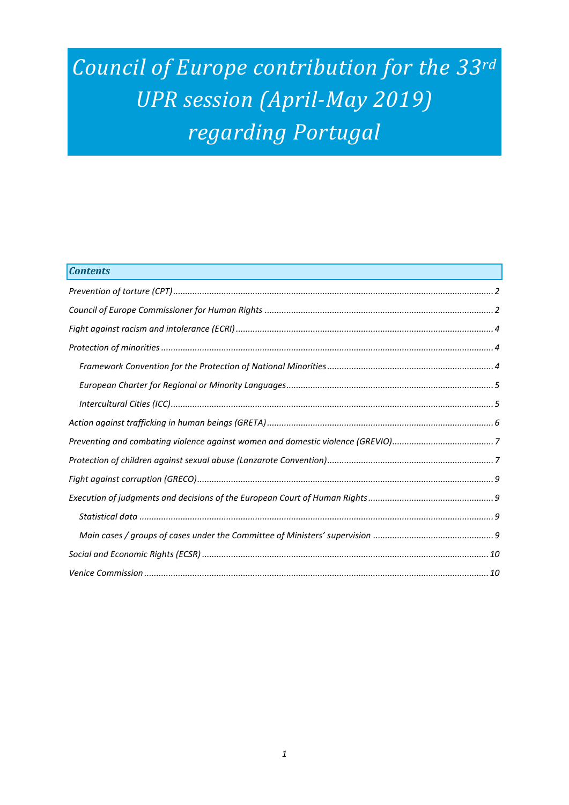# *Council of Europe contribution for the 33rd UPR session (April-May 2019) regarding Portugal*

| <b>Contents</b> |
|-----------------|
|                 |
|                 |
|                 |
|                 |
|                 |
|                 |
|                 |
|                 |
|                 |
|                 |
|                 |
|                 |
|                 |
|                 |
|                 |
|                 |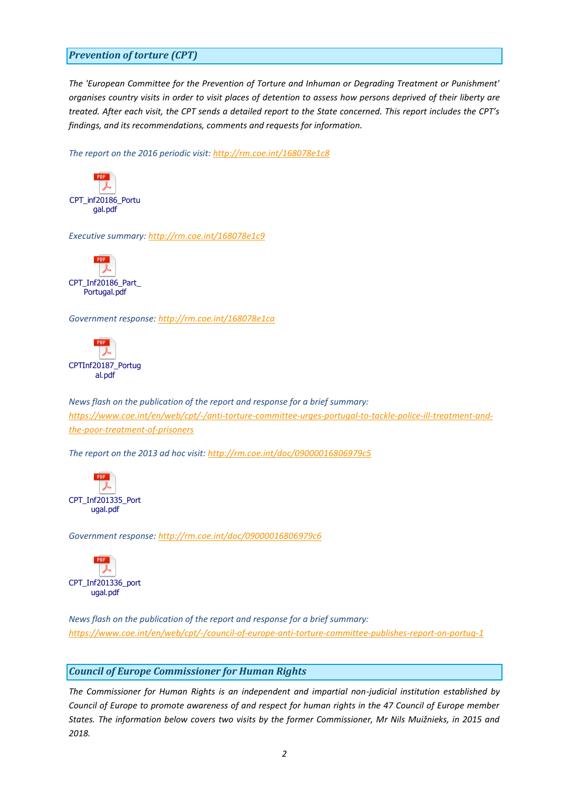## <span id="page-1-0"></span>*Prevention of torture (CPT)*

*The 'European Committee for the Prevention of Torture and Inhuman or Degrading Treatment or Punishment' organises country visits in order to visit places of detention to assess how persons deprived of their liberty are treated. After each visit, the CPT sends a detailed report to the State concerned. This report includes the CPT's findings, and its recommendations, comments and requests for information.*

*The report on the 2016 periodic visit:<http://rm.coe.int/168078e1c8>*



*Executive summary:<http://rm.coe.int/168078e1c9>*



*Government response:<http://rm.coe.int/168078e1ca>*



*News flash on the publication of the report and response for a brief summary: [https://www.coe.int/en/web/cpt/-/anti-torture-committee-urges-portugal-to-tackle-police-ill-treatment-and](https://www.coe.int/en/web/cpt/-/anti-torture-committee-urges-portugal-to-tackle-police-ill-treatment-and-the-poor-treatment-of-prisoners)[the-poor-treatment-of-prisoners](https://www.coe.int/en/web/cpt/-/anti-torture-committee-urges-portugal-to-tackle-police-ill-treatment-and-the-poor-treatment-of-prisoners)*

*The report on the 2013 ad hoc visit[: http://rm.coe.int/doc/09000016806979c5](http://rm.coe.int/doc/09000016806979c5)*



*Government response:<http://rm.coe.int/doc/09000016806979c6>*



*News flash on the publication of the report and response for a brief summary: <https://www.coe.int/en/web/cpt/-/council-of-europe-anti-torture-committee-publishes-report-on-portug-1>*

#### <span id="page-1-1"></span>*Council of Europe Commissioner for Human Rights*

*The Commissioner for Human Rights is an independent and impartial non-judicial institution established by Council of Europe to promote awareness of and respect for human rights in the 47 Council of Europe member States. The information below covers two visits by the former Commissioner, Mr Nils Muižnieks, in 2015 and 2018.*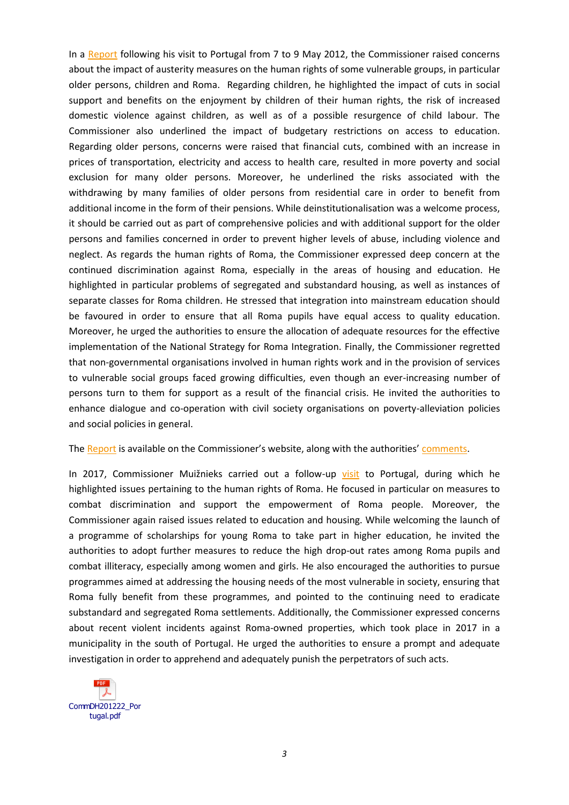In a [Report](https://rm.coe.int/16806db8bd) following his visit to Portugal from 7 to 9 May 2012, the Commissioner raised concerns about the impact of austerity measures on the human rights of some vulnerable groups, in particular older persons, children and Roma. Regarding children, he highlighted the impact of cuts in social support and benefits on the enjoyment by children of their human rights, the risk of increased domestic violence against children, as well as of a possible resurgence of child labour. The Commissioner also underlined the impact of budgetary restrictions on access to education. Regarding older persons, concerns were raised that financial cuts, combined with an increase in prices of transportation, electricity and access to health care, resulted in more poverty and social exclusion for many older persons. Moreover, he underlined the risks associated with the withdrawing by many families of older persons from residential care in order to benefit from additional income in the form of their pensions. While deinstitutionalisation was a welcome process, it should be carried out as part of comprehensive policies and with additional support for the older persons and families concerned in order to prevent higher levels of abuse, including violence and neglect. As regards the human rights of Roma, the Commissioner expressed deep concern at the continued discrimination against Roma, especially in the areas of housing and education. He highlighted in particular problems of segregated and substandard housing, as well as instances of separate classes for Roma children. He stressed that integration into mainstream education should be favoured in order to ensure that all Roma pupils have equal access to quality education. Moreover, he urged the authorities to ensure the allocation of adequate resources for the effective implementation of the National Strategy for Roma Integration. Finally, the Commissioner regretted that non-governmental organisations involved in human rights work and in the provision of services to vulnerable social groups faced growing difficulties, even though an ever-increasing number of persons turn to them for support as a result of the financial crisis. He invited the authorities to enhance dialogue and co-operation with civil society organisations on poverty-alleviation policies and social policies in general.

#### The [Report](https://rm.coe.int/16806db8bd) is available on the Commissioner's website, along with the authorities' [comments.](https://rm.coe.int/16806db6d7)

In 2017, Commissioner Muižnieks carried out a follow-up [visit](https://www.coe.int/en/web/commissioner/-/portugal-progress-in-participation-of-roma-in-local-decision-making-should-be-sustained) to Portugal, during which he highlighted issues pertaining to the human rights of Roma. He focused in particular on measures to combat discrimination and support the empowerment of Roma people. Moreover, the Commissioner again raised issues related to education and housing. While welcoming the launch of a programme of scholarships for young Roma to take part in higher education, he invited the authorities to adopt further measures to reduce the high drop-out rates among Roma pupils and combat illiteracy, especially among women and girls. He also encouraged the authorities to pursue programmes aimed at addressing the housing needs of the most vulnerable in society, ensuring that Roma fully benefit from these programmes, and pointed to the continuing need to eradicate substandard and segregated Roma settlements. Additionally, the Commissioner expressed concerns about recent violent incidents against Roma-owned properties, which took place in 2017 in a municipality in the south of Portugal. He urged the authorities to ensure a prompt and adequate investigation in order to apprehend and adequately punish the perpetrators of such acts.

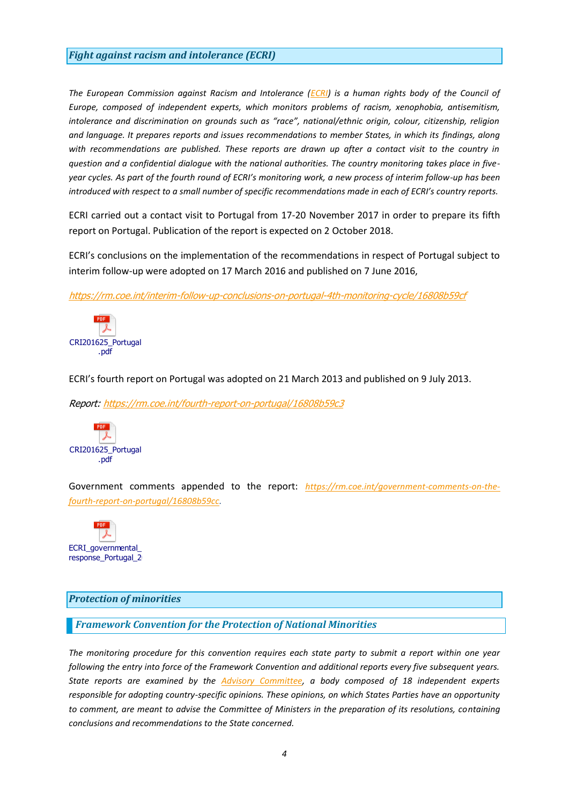## <span id="page-3-0"></span>*Fight against racism and intolerance (ECRI)*

*The European Commission against Racism and Intolerance [\(ECRI\)](http://www.coe.int/t/dghl/monitoring/ecri/default_en.asp) is a human rights body of the Council of Europe, composed of independent experts, which monitors problems of racism, xenophobia, antisemitism, intolerance and discrimination on grounds such as "race", national/ethnic origin, colour, citizenship, religion and language. It prepares reports and issues recommendations to member States, in which its findings, along with recommendations are published. These reports are drawn up after a contact visit to the country in question and a confidential dialogue with the national authorities. The country monitoring takes place in fiveyear cycles. As part of the fourth round of ECRI's monitoring work, a new process of interim follow-up has been introduced with respect to a small number of specific recommendations made in each of ECRI's country reports.*

ECRI carried out a contact visit to Portugal from 17-20 November 2017 in order to prepare its fifth report on Portugal. Publication of the report is expected on 2 October 2018.

ECRI's conclusions on the implementation of the recommendations in respect of Portugal subject to interim follow-up were adopted on 17 March 2016 and published on 7 June 2016,

<https://rm.coe.int/interim-follow-up-conclusions-on-portugal-4th-monitoring-cycle/16808b59cf>



ECRI's fourth report on Portugal was adopted on 21 March 2013 and published on 9 July 2013.

Report:<https://rm.coe.int/fourth-report-on-portugal/16808b59c3>



Government comments appended to the report: *[https://rm.coe.int/government-comments-on-the](https://rm.coe.int/government-comments-on-the-fourth-report-on-portugal/16808b59cc)[fourth-report-on-portugal/16808b59cc.](https://rm.coe.int/government-comments-on-the-fourth-report-on-portugal/16808b59cc)*



#### <span id="page-3-1"></span>*Protection of minorities*

#### <span id="page-3-2"></span>*Framework Convention for the Protection of National Minorities*

*The monitoring procedure for this convention requires each state party to submit a report within one year following the entry into force of the Framework Convention and additional reports every five subsequent years. State reports are examined by the [Advisory Committee,](http://www.coe.int/en/web/minorities/monitoring) a body composed of 18 independent experts responsible for adopting country-specific opinions. These opinions, on which States Parties have an opportunity to comment, are meant to advise the Committee of Ministers in the preparation of its resolutions, containing conclusions and recommendations to the State concerned.*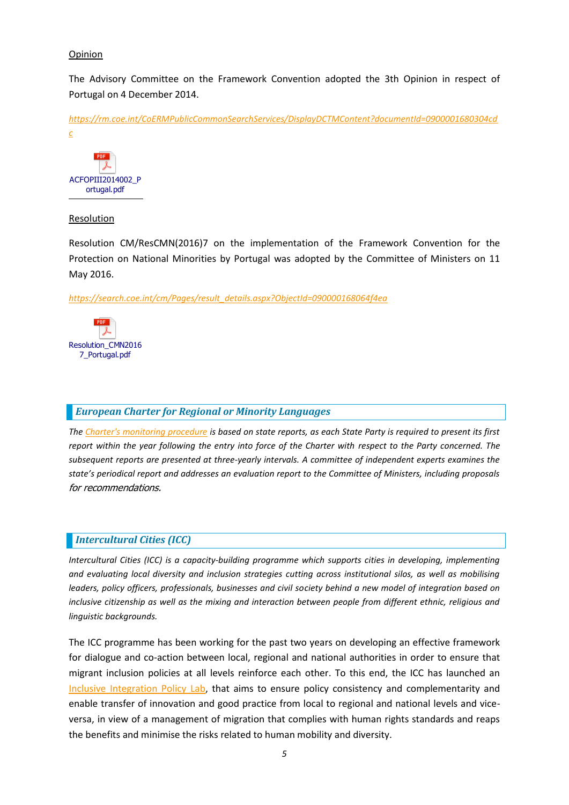## Opinion

The Advisory Committee on the Framework Convention adopted the 3th Opinion in respect of Portugal on 4 December 2014.

*[https://rm.coe.int/CoERMPublicCommonSearchServices/DisplayDCTMContent?documentId=0900001680304cd](https://rm.coe.int/CoERMPublicCommonSearchServices/DisplayDCTMContent?documentId=0900001680304cdc) [c](https://rm.coe.int/CoERMPublicCommonSearchServices/DisplayDCTMContent?documentId=0900001680304cdc)*



#### Resolution

Resolution CM/ResCMN(2016)7 on the implementation of the Framework Convention for the Protection on National Minorities by Portugal was adopted by the Committee of Ministers on 11 May 2016.

*[https://search.coe.int/cm/Pages/result\\_details.aspx?ObjectId=090000168064f4ea](https://search.coe.int/cm/Pages/result_details.aspx?ObjectId=090000168064f4ea)*



# <span id="page-4-0"></span>*European Charter for Regional or Minority Languages*

*The [Charter's monitoring procedure](http://www.coe.int/t/dg4/education/minlang/Report/) is based on state reports, as each State Party is required to present its first report within the year following the entry into force of the Charter with respect to the Party concerned. The subsequent reports are presented at three-yearly intervals. A committee of independent experts examines the state's periodical report and addresses an evaluation report to the Committee of Ministers, including proposals*  for recommendations.

# <span id="page-4-1"></span>*Intercultural Cities (ICC)*

*Intercultural Cities (ICC) is a capacity-building programme which supports cities in developing, implementing and evaluating local diversity and inclusion strategies cutting across institutional silos, as well as mobilising leaders, policy officers, professionals, businesses and civil society behind a new model of integration based on*  inclusive citizenship as well as the mixing and interaction between people from different ethnic, religious and *linguistic backgrounds.*

The ICC programme has been working for the past two years on developing an effective framework for dialogue and co-action between local, regional and national authorities in order to ensure that migrant inclusion policies at all levels reinforce each other. To this end, the ICC has launched an [Inclusive Integration Policy Lab,](https://www.coe.int/en/web/interculturalcities/policy-lab) that aims to ensure policy consistency and complementarity and enable transfer of innovation and good practice from local to regional and national levels and viceversa, in view of a management of migration that complies with human rights standards and reaps the benefits and minimise the risks related to human mobility and diversity.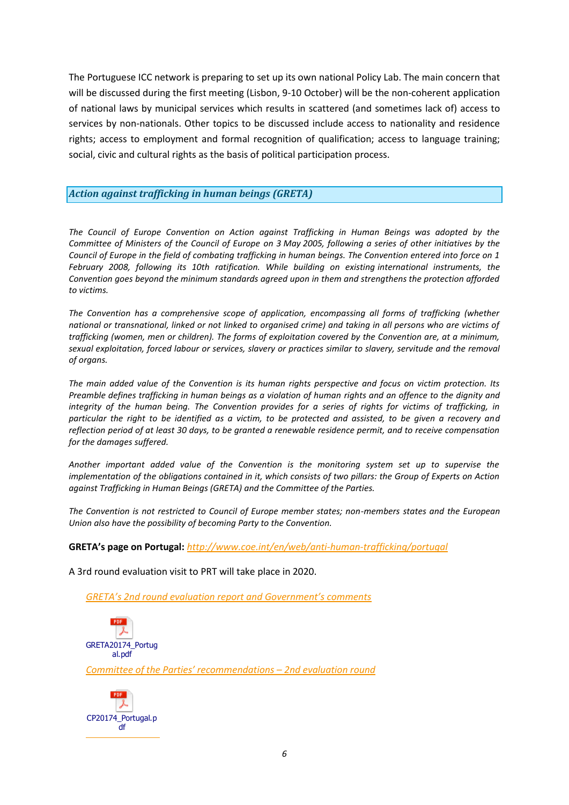The [Portuguese ICC network](https://www.coe.int/en/web/interculturalcities/portugal) is preparing to set up its own national Policy Lab. The main concern that will be discussed during the first meeting (Lisbon, 9-10 October) will be the non-coherent application of national laws by municipal services which results in scattered (and sometimes lack of) access to services by non-nationals. Other topics to be discussed include access to nationality and residence rights; access to employment and formal recognition of qualification; access to language training; social, civic and cultural rights as the basis of political participation process.

## <span id="page-5-0"></span>*Action against trafficking in human beings (GRETA)*

*The Council of Europe Convention on Action against Trafficking in Human Beings was adopted by the Committee of Ministers of the Council of Europe on 3 May 2005, following a series of other initiatives by the Council of Europe in the field of combating trafficking in human beings. The Convention entered into force on 1 February 2008, following its 10th ratification. While building on existing international instruments, the Convention goes beyond the minimum standards agreed upon in them and strengthens the protection afforded to victims.*

*The Convention has a comprehensive scope of application, encompassing all forms of trafficking (whether national or transnational, linked or not linked to organised crime) and taking in all persons who are victims of trafficking (women, men or children). The forms of exploitation covered by the Convention are, at a minimum, sexual exploitation, forced labour or services, slavery or practices similar to slavery, servitude and the removal of organs.*

*The main added value of the Convention is its human rights perspective and focus on victim protection. Its Preamble defines trafficking in human beings as a violation of human rights and an offence to the dignity and integrity of the human being. The Convention provides for a series of rights for victims of trafficking, in particular the right to be identified as a victim, to be protected and assisted, to be given a recovery and reflection period of at least 30 days, to be granted a renewable residence permit, and to receive compensation for the damages suffered.*

*Another important added value of the Convention is the monitoring system set up to supervise the implementation of the obligations contained in it, which consists of two pillars: the Group of Experts on Action against Trafficking in Human Beings (GRETA) and the Committee of the Parties.*

*The Convention is not restricted to Council of Europe member states; non-members states and the European Union also have the possibility of becoming Party to the Convention.*

**GRETA's page on Portugal:** *<http://www.coe.int/en/web/anti-human-trafficking/portugal>*

A 3rd round evaluation visit to PRT will take place in 2020.

*[GRETA's 2nd round evaluation report and Government's comments](http://rm.coe.int/doc/09000016806fe673)*



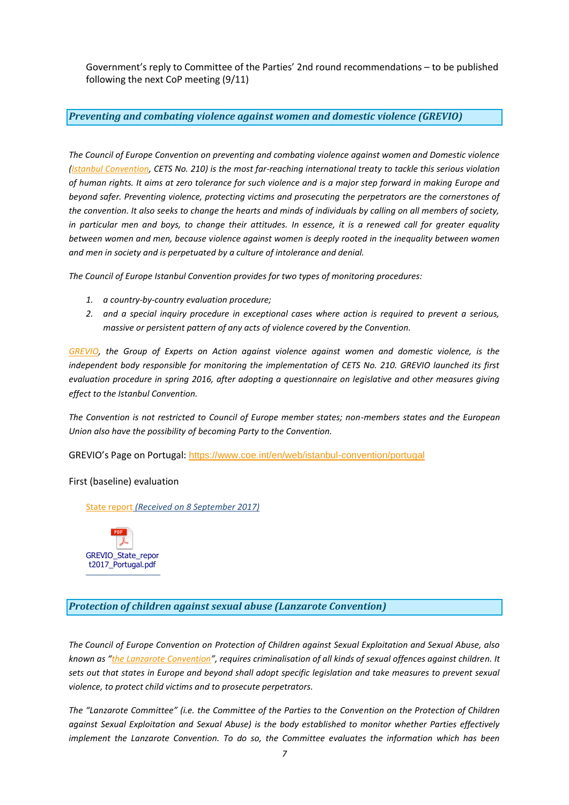Government's reply to Committee of the Parties' 2nd round recommendations – to be published following the next CoP meeting (9/11)

#### <span id="page-6-0"></span>*Preventing and combating violence against women and domestic violence (GREVIO)*

*The Council of Europe Convention on preventing and combating violence against women and Domestic violence [\(Istanbul Convention, CETS No. 210\)](https://www.coe.int/en/web/conventions/full-list/-/conventions/treaty/210) is the most far-reaching international treaty to tackle this serious violation of human rights. It aims at zero tolerance for such violence and is a major step forward in making Europe and beyond safer. Preventing violence, protecting victims and prosecuting the perpetrators are the cornerstones of the convention. It also seeks to change the hearts and minds of individuals by calling on all members of society, in particular men and boys, to change their attitudes. In essence, it is a renewed call for greater equality between women and men, because violence against women is deeply rooted in the inequality between women and men in society and is perpetuated by a culture of intolerance and denial.* 

*The Council of Europe Istanbul Convention provides for two types of monitoring procedures:*

- *1. a country-by-country evaluation procedure;*
- *2. and a special inquiry procedure in exceptional cases where action is required to prevent a serious, massive or persistent pattern of any acts of violence covered by the Convention.*

*[GREVIO,](https://www.coe.int/en/web/istanbul-convention/grevio) the Group of Experts on Action against violence against women and domestic violence, is the independent body responsible for monitoring the implementation of CETS No. 210. GREVIO launched its first evaluation procedure in spring 2016, after adopting a questionnaire on legislative and other measures giving effect to the Istanbul Convention.*

*The Convention is not restricted to Council of Europe member states; non-members states and the European Union also have the possibility of becoming Party to the Convention.*

GREVIO's Page on Portugal: <https://www.coe.int/en/web/istanbul-convention/portugal>

#### First (baseline) evaluation

[State report](https://rm.coe.int/portugal-state-report/168074173e) *(Received on 8 September 2017)*



<span id="page-6-1"></span>*Protection of children against sexual abuse (Lanzarote Convention)*

*The Council of Europe Convention on Protection of Children against Sexual Exploitation and Sexual Abuse, also known as "[the Lanzarote Convention](https://www.coe.int/en/web/children/lanzarote-convention)", requires criminalisation of all kinds of sexual offences against children. It sets out that states in Europe and beyond shall adopt specific legislation and take measures to prevent sexual violence, to protect child victims and to prosecute perpetrators.*

*The "Lanzarote Committee" (i.e. the Committee of the Parties to the Convention on the Protection of Children against Sexual Exploitation and Sexual Abuse) is the body established to monitor whether Parties effectively implement the Lanzarote Convention. To do so, the Committee evaluates the information which has been*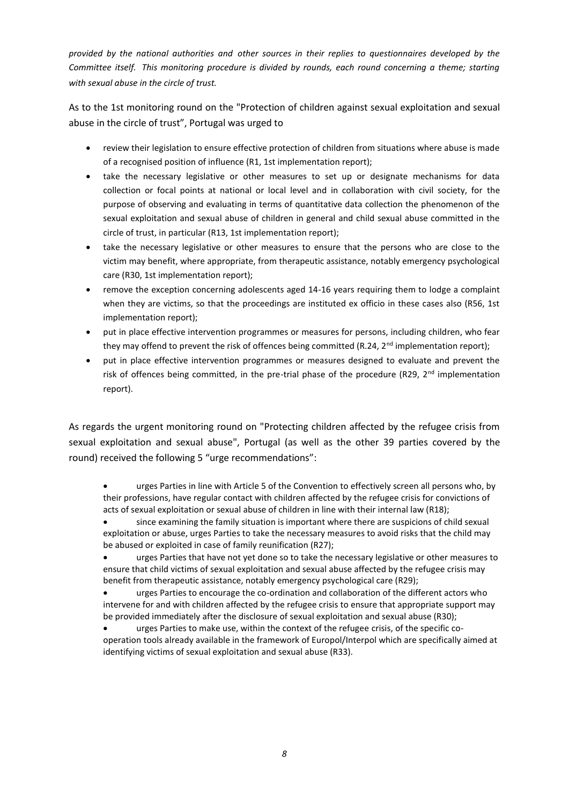*provided by the national authorities and other sources in their replies to questionnaires developed by the Committee itself. This monitoring procedure is divided by rounds, each round concerning a theme; starting with sexual abuse in the circle of trust.*

As to the 1st monitoring round on the "Protection of children against sexual exploitation and sexual abuse in the circle of trust", Portugal was urged to

- review their legislation to ensure effective protection of children from situations where abuse is made of a recognised position of influence (R1, 1st implementation report);
- take the necessary legislative or other measures to set up or designate mechanisms for data collection or focal points at national or local level and in collaboration with civil society, for the purpose of observing and evaluating in terms of quantitative data collection the phenomenon of the sexual exploitation and sexual abuse of children in general and child sexual abuse committed in the circle of trust, in particular (R13, 1st implementation report);
- take the necessary legislative or other measures to ensure that the persons who are close to the victim may benefit, where appropriate, from therapeutic assistance, notably emergency psychological care (R30, 1st implementation report);
- remove the exception concerning adolescents aged 14-16 years requiring them to lodge a complaint when they are victims, so that the proceedings are instituted ex officio in these cases also (R56, 1st implementation report);
- put in place effective intervention programmes or measures for persons, including children, who fear they may offend to prevent the risk of offences being committed  $(R.24, 2^{nd}$  implementation report);
- put in place effective intervention programmes or measures designed to evaluate and prevent the risk of offences being committed, in the pre-trial phase of the procedure (R29, 2<sup>nd</sup> implementation report).

As regards the urgent monitoring round on "Protecting children affected by the refugee crisis from sexual exploitation and sexual abuse", Portugal (as well as the other 39 parties covered by the round) received the following 5 "urge recommendations":

 urges Parties in line with Article 5 of the Convention to effectively screen all persons who, by their professions, have regular contact with children affected by the refugee crisis for convictions of acts of sexual exploitation or sexual abuse of children in line with their internal law (R18);

 since examining the family situation is important where there are suspicions of child sexual exploitation or abuse, urges Parties to take the necessary measures to avoid risks that the child may be abused or exploited in case of family reunification (R27);

 urges Parties that have not yet done so to take the necessary legislative or other measures to ensure that child victims of sexual exploitation and sexual abuse affected by the refugee crisis may benefit from therapeutic assistance, notably emergency psychological care (R29);

 urges Parties to encourage the co-ordination and collaboration of the different actors who intervene for and with children affected by the refugee crisis to ensure that appropriate support may be provided immediately after the disclosure of sexual exploitation and sexual abuse (R30);

 urges Parties to make use, within the context of the refugee crisis, of the specific cooperation tools already available in the framework of Europol/Interpol which are specifically aimed at identifying victims of sexual exploitation and sexual abuse (R33).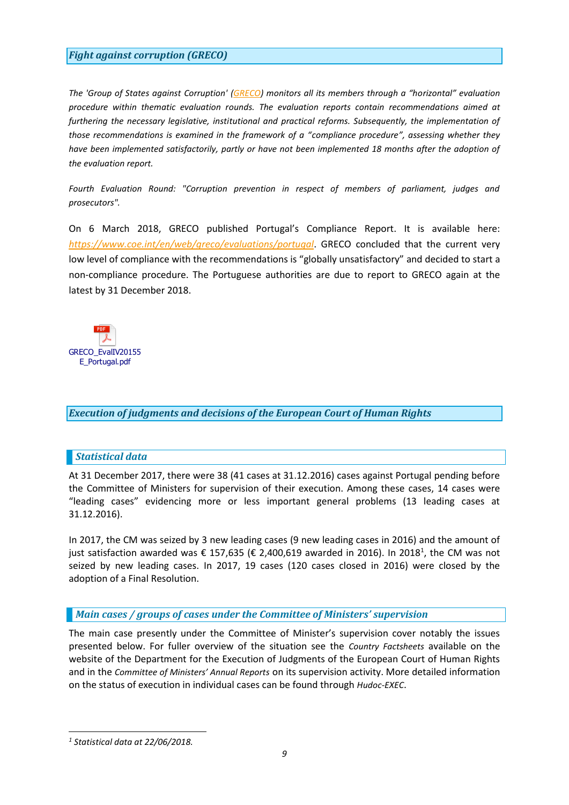## <span id="page-8-0"></span>*Fight against corruption (GRECO)*

*The 'Group of States against Corruption' [\(GRECO\)](http://www.coe.int/t/dghl/monitoring/greco/default_en.asp) monitors all its members through a "horizontal" evaluation procedure within thematic evaluation rounds. The evaluation reports contain recommendations aimed at*  furthering the necessary legislative, institutional and practical reforms. Subsequently, the implementation of *those recommendations is examined in the framework of a "compliance procedure", assessing whether they have been implemented satisfactorily, partly or have not been implemented 18 months after the adoption of the evaluation report.*

*Fourth Evaluation Round: "Corruption prevention in respect of members of parliament, judges and prosecutors".*

On 6 March 2018, GRECO published Portugal's Compliance Report. It is available here: *<https://www.coe.int/en/web/greco/evaluations/portugal>*. GRECO concluded that the current very low level of compliance with the recommendations is "globally unsatisfactory" and decided to start a non-compliance procedure. The Portuguese authorities are due to report to GRECO again at the latest by 31 December 2018.



## <span id="page-8-1"></span>*Execution of judgments and decisions of the European Court of Human Rights*

## <span id="page-8-2"></span>*Statistical data*

At 31 December 2017, there were 38 (41 cases at 31.12.2016) cases against Portugal pending before the Committee of Ministers for supervision of their execution. Among these cases, 14 cases were "leading cases" evidencing more or less important general problems (13 leading cases at 31.12.2016).

In 2017, the CM was seized by 3 new leading cases (9 new leading cases in 2016) and the amount of just satisfaction awarded was € 157,635 (€ 2,400,619 awarded in 2016). In 2018<sup>1</sup>, the CM was not seized by new leading cases. In 2017, 19 cases (120 cases closed in 2016) were closed by the adoption of a Final Resolution.

## <span id="page-8-3"></span>*Main cases / groups of cases under the Committee of Ministers' supervision*

The main case presently under the Committee of Minister's supervision cover notably the issues presented below. For fuller overview of the situation see the *[Country Factsheets](https://www.coe.int/en/web/execution/country-factsheets)* available on the website of the Department for the Execution of Judgments of the European Court of Human Rights and in the *[Committee of Ministers' Annual Reports](https://www.coe.int/en/web/execution/annual-reports)* on its supervision activity. More detailed information on the status of execution in individual cases can be found through *[Hudoc-EXEC](https://hudoc.exec.coe.int/eng#{"EXECDocumentTypeCollection":["CEC"]})*.

*<sup>1</sup> Statistical data at 22/06/2018.*